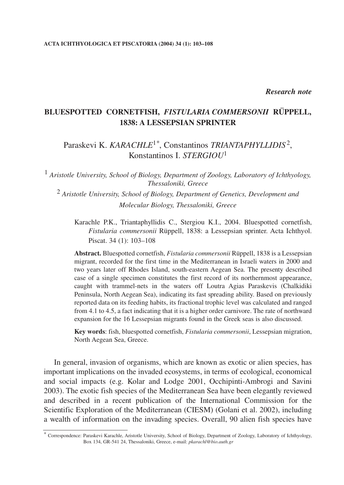## *Research note*

# **BLUESPOTTED CORNETFISH,** *FISTULARIA COMMERSONII* **RÜPPELL, 1838: A LESSEPSIAN SPRINTER**

# Paraskevi K. *KARACHLE*1*\**, Constantinos *TRIANTAPHYLLIDIS*2, Konstantinos I. *STERGIOU*<sup>1</sup>

<sup>1</sup> *Aristotle University, School of Biology, Department of Zoology, Laboratory of Ichthyology, Thessaloniki, Greece*

<sup>2</sup> *Aristotle University, School of Biology, Department of Genetics, Development and Molecular Biology, Thessaloniki, Greece*

Karachle P.K., Triantaphyllidis C., Stergiou K.I., 2004. Bluespotted cornetfish, *Fistularia commersonii* Rüppell, 1838: a Lessepsian sprinter. Acta Ichthyol. Piscat. 34 (1): 103–108

**Abstract.** Bluespotted cornetfish, *Fistularia commersonii* Rüppell, 1838 is a Lessepsian migrant, recorded for the first time in the Mediterranean in Israeli waters in 2000 and two years later off Rhodes Island, south-eastern Aegean Sea. The presenty described case of a single specimen constitutes the first record of its northernmost appearance, caught with trammel-nets in the waters off Loutra Agias Paraskevis (Chalkidiki Peninsula, North Aegean Sea), indicating its fast spreading ability. Based on previously reported data on its feeding habits, its fractional trophic level was calculated and ranged from 4.1 to 4.5, a fact indicating that it is a higher order carnivore. The rate of northward expansion for the 16 Lessepsian migrants found in the Greek seas is also discussed.

**Key words**: fish, bluespotted cornetfish, *Fistularia commersonii*, Lessepsian migration, North Aegean Sea, Greece.

In general, invasion of organisms, which are known as exotic or alien species, has important implications on the invaded ecosystems, in terms of ecological, economical and social impacts (e.g. Kolar and Lodge 2001, Occhipinti-Ambrogi and Savini 2003). The exotic fish species of the Mediterranean Sea have been elegantly reviewed and described in a recent publication of the International Commission for the Scientific Exploration of the Mediterranean (CIESM) (Golani et al. 2002), including a wealth of information on the invading species. Overall, 90 alien fish species have

<sup>\*</sup> Correspondence: Paraskevi Karachle, Aristotle University, School of Biology, Department of Zoology, Laboratory of Ichthyology, Box 134, GR-541 24, Thessaloniki, Greece, e-mail: *pkarachl@bio.auth.gr*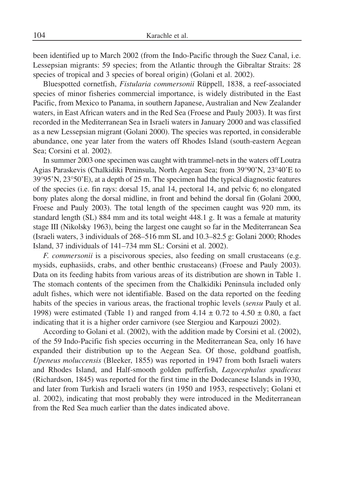been identified up to March 2002 (from the Indo-Pacific through the Suez Canal, i.e. Lessepsian migrants: 59 species; from the Atlantic through the Gibraltar Straits: 28 species of tropical and 3 species of boreal origin) (Golani et al. 2002).

Bluespotted cornetfish, *Fistularia commersonii* Rüppell, 1838, a reef-associated species of minor fisheries commercial importance, is widely distributed in the East Pacific, from Mexico to Panama, in southern Japanese, Australian and New Zealander waters, in East African waters and in the Red Sea (Froese and Pauly 2003). It was first recorded in the Mediterranean Sea in Israeli waters in January 2000 and was classified as a new Lessepsian migrant (Golani 2000). The species was reported, in considerable abundance, one year later from the waters off Rhodes Island (south-eastern Aegean Sea; Corsini et al. 2002).

In summer 2003 one specimen was caught with trammel-nets in the waters off Loutra Agias Paraskevis (Chalkidiki Peninsula, North Aegean Sea; from 39°90'N, 23°40'E to 39°95'N, 23°50'E), at a depth of 25 m. The specimen had the typical diagnostic features of the species (i.e. fin rays: dorsal 15, anal 14, pectoral 14, and pelvic 6; no elongated bony plates along the dorsal midline, in front and behind the dorsal fin (Golani 2000, Froese and Pauly 2003). The total length of the specimen caught was 920 mm, its standard length (SL) 884 mm and its total weight 448.1 g. It was a female at maturity stage III (Nikolsky 1963), being the largest one caught so far in the Mediterranean Sea (Israeli waters, 3 individuals of 268–516 mm SL and 10.3–82.5 g: Golani 2000; Rhodes Island, 37 individuals of 141–734 mm SL: Corsini et al. 2002).

*F. commersonii* is a piscivorous species, also feeding on small crustaceans (e.g. mysids, euphasiids, crabs, and other benthic crustaceans) (Froese and Pauly 2003). Data on its feeding habits from various areas of its distribution are shown in Table 1. The stomach contents of the specimen from the Chalkidiki Peninsula included only adult fishes, which were not identifiable. Based on the data reported on the feeding habits of the species in various areas, the fractional trophic levels (*sensu* Pauly et al. 1998) were estimated (Table 1) and ranged from  $4.14 \pm 0.72$  to  $4.50 \pm 0.80$ , a fact indicating that it is a higher order carnivore (see Stergiou and Karpouzi 2002).

According to Golani et al. (2002), with the addition made by Corsini et al. (2002), of the 59 Indo-Pacific fish species occurring in the Mediterranean Sea, only 16 have expanded their distribution up to the Aegean Sea. Of those, goldband goatfish, *Upeneus moluccensis* (Bleeker, 1855) was reported in 1947 from both Israeli waters and Rhodes Island, and Half-smooth golden pufferfish, *Lagocephalus spadiceus* (Richardson, 1845) was reported for the first time in the Dodecanese Islands in 1930, and later from Turkish and Israeli waters (in 1950 and 1953, respectively; Golani et al. 2002), indicating that most probably they were introduced in the Mediterranean from the Red Sea much earlier than the dates indicated above.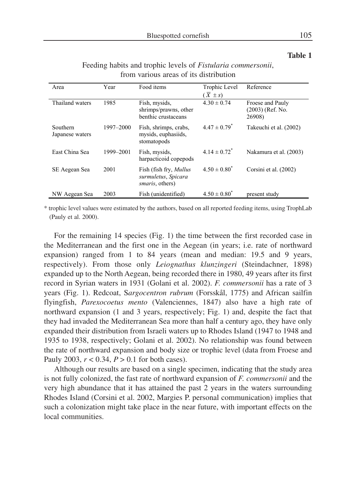**Table 1**

#### Area Year Food items Trophic Level  $(\overline{X} \pm s)$ Reference Thailand waters 1985 Fish, mysids, shrimps/prawns, other benthic crustaceans  $4.30 \pm 0.74$  Froese and Pauly (2003) (Ref. No. 26908) Southern Japanese waters 1997–2000 Fish, shrimps, crabs, mysids, euphasiids, stomatopods  $4.47 \pm 0.79$ <sup>\*</sup> Takeuchi et al. (2002) East China Sea 1999–2001 Fish, mysids, harpacticoid copepods  $4.14 \pm 0.72$ <sup>\*</sup> Nakamura et al. (2003) SE Aegean Sea 2001 Fish (fish fry, *Mullus surmuletus*, *Spicara smaris*, others)  $4.50 \pm 0.80^*$  Corsini et al. (2002) NW Aegean Sea  $2003$  Fish (unidentified)  $4.50 \pm 0.80^*$  present study

## Feeding habits and trophic levels of *Fistularia commersonii*, from various areas of its distribution

\* trophic level values were estimated by the authors, based on all reported feeding items, using TrophLab (Pauly et al. 2000).

For the remaining 14 species (Fig. 1) the time between the first recorded case in the Mediterranean and the first one in the Aegean (in years; i.e. rate of northward expansion) ranged from 1 to 84 years (mean and median: 19.5 and 9 years, respectively). From those only *Leiognathus klunzingeri* (Steindachner, 1898) expanded up to the North Aegean, being recorded there in 1980, 49 years after its first record in Syrian waters in 1931 (Golani et al. 2002). *F. commersonii* has a rate of 3 years (Fig. 1). Redcoat, Sargocentron rubrum (Forsskål, 1775) and African sailfin flyingfish, *Parexocoetus mento* (Valenciennes, 1847) also have a high rate of northward expansion (1 and 3 years, respectively; Fig. 1) and, despite the fact that they had invaded the Mediterranean Sea more than half a century ago, they have only expanded their distribution from Israeli waters up to Rhodes Island (1947 to 1948 and 1935 to 1938, respectively; Golani et al. 2002). No relationship was found between the rate of northward expansion and body size or trophic level (data from Froese and Pauly 2003,  $r < 0.34$ ,  $P > 0.1$  for both cases).

Although our results are based on a single specimen, indicating that the study area is not fully colonized, the fast rate of northward expansion of *F. commersonii* and the very high abundance that it has attained the past 2 years in the waters surrounding Rhodes Island (Corsini et al. 2002, Margies P. personal communication) implies that such a colonization might take place in the near future, with important effects on the local communities.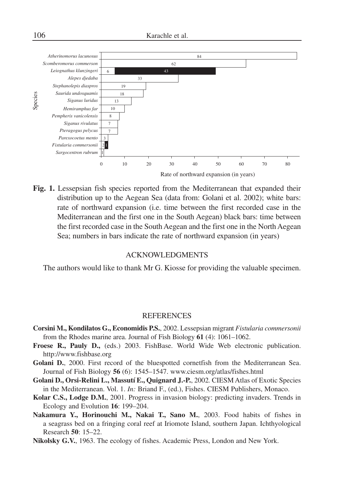

Rate of northward expansion (in years)

**Fig. 1.** Lessepsian fish species reported from the Mediterranean that expanded their distribution up to the Aegean Sea (data from: Golani et al. 2002); white bars: rate of northward expansion (i.e. time between the first recorded case in the Mediterranean and the first one in the South Aegean) black bars: time between the first recorded case in the South Aegean and the first one in the North Aegean Sea; numbers in bars indicate the rate of northward expansion (in years)

## ACKNOWLEDGMENTS

The authors would like to thank Mr G. Kiosse for providing the valuable specimen.

### REFERENCES

- **Corsini M., Kondilatos G., Economidis P.S.**, 2002. Lessepsian migrant *Fistularia commersonii* from the Rhodes marine area. Journal of Fish Biology **61** (4): 1061–1062.
- **Froese R., Pauly D.,** (eds.) 2003. FishBase. World Wide Web electronic publication. http://www.fishbase.org
- Golani D., 2000. First record of the bluespotted cornetfish from the Mediterranean Sea. Journal of Fish Biology **56** (6): 1545–1547. www.ciesm.org/atlas/fishes.html
- **Golani D., Orsi-Relini L., Massutí E., Quignard J.-P.**, 2002*.* CIESM Atlas of Exotic Species in the Mediterranean. Vol. 1. *In:* Briand F., (ed.), Fishes. CIESM Publishers, Monaco.
- **Kolar C.S., Lodge D.M.**, 2001. Progress in invasion biology: predicting invaders. Trends in Ecology and Evolution **16**: 199–204.
- **Nakamura Y., Horinouchi M., Nakai T., Sano M.**, 2003. Food habits of fishes in a seagrass bed on a fringing coral reef at Iriomote Island, southern Japan. Ichthyological Research **50**: 15–22.
- **Nikolsky G.V.**, 1963. The ecology of fishes. Academic Press, London and New York.